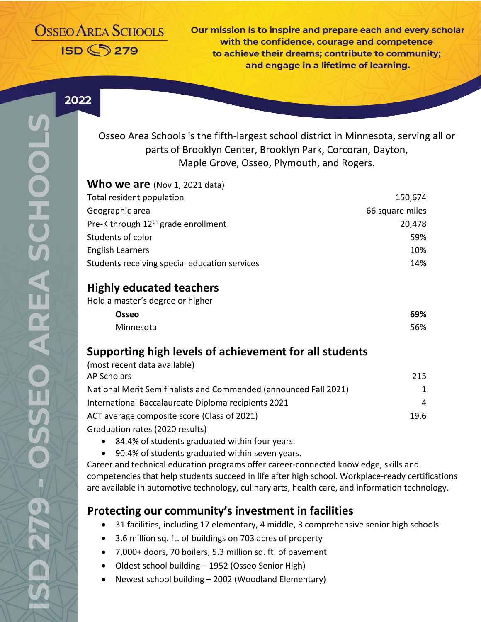# **OSSEO AREA SCHOOLS ISD <>>>>>>>279**

Our mission is to inspire and prepare each and every scholar with the confidence, courage and competence to achieve their dreams: contribute to community: and engage in a lifetime of learning.

2022

Osseo Area Schools is the fifth-largest school district in Minnesota, serving all or parts of Brooklyn Center, Brooklyn Park, Corcoran, Dayton, Maple Grove, Osseo, Plymouth, and Rogers.

| Who we are (Nov 1, 2021 data)                   |                 |
|-------------------------------------------------|-----------------|
| Total resident population                       | 150,674         |
| Geographic area                                 | 66 square miles |
| Pre-K through 12 <sup>th</sup> grade enrollment | 20,478          |
| Students of color                               | 59%             |
| <b>English Learners</b>                         | 10%             |
| Students receiving special education services   | 14%             |
| <b>Highly educated teachers</b>                 |                 |
| Hold a master's degree or higher                |                 |
| Osseo                                           | 69%             |

| Supporting high levels of achievement for all students |  |  |  |
|--------------------------------------------------------|--|--|--|
|                                                        |  |  |  |

| (most recent data available)                                     |      |
|------------------------------------------------------------------|------|
| AP Scholars                                                      | 215  |
| National Merit Semifinalists and Commended (announced Fall 2021) | 1.   |
| International Baccalaureate Diploma recipients 2021              | 4    |
| ACT average composite score (Class of 2021)                      | 19.6 |
| Craduation rator (2020 roculte)                                  |      |

Minnesota 56%

Graduation rates (2020 results)

- 84.4% of students graduated within four years.
- 90.4% of students graduated within seven years.

Career and technical education programs offer career-connected knowledge, skills and competencies that help students succeed in life after high school. Workplace-ready certifications are available in automotive technology, culinary arts, health care, and information technology.

### **Protecting our community's investment in facilities**

- 31 facilities, including 17 elementary, 4 middle, 3 comprehensive senior high schools
- 3.6 million sq. ft. of buildings on 703 acres of property
- 7,000+ doors, 70 boilers, 5.3 million sq. ft. of pavement
- Oldest school building 1952 (Osseo Senior High)
- Newest school building 2002 (Woodland Elementary)